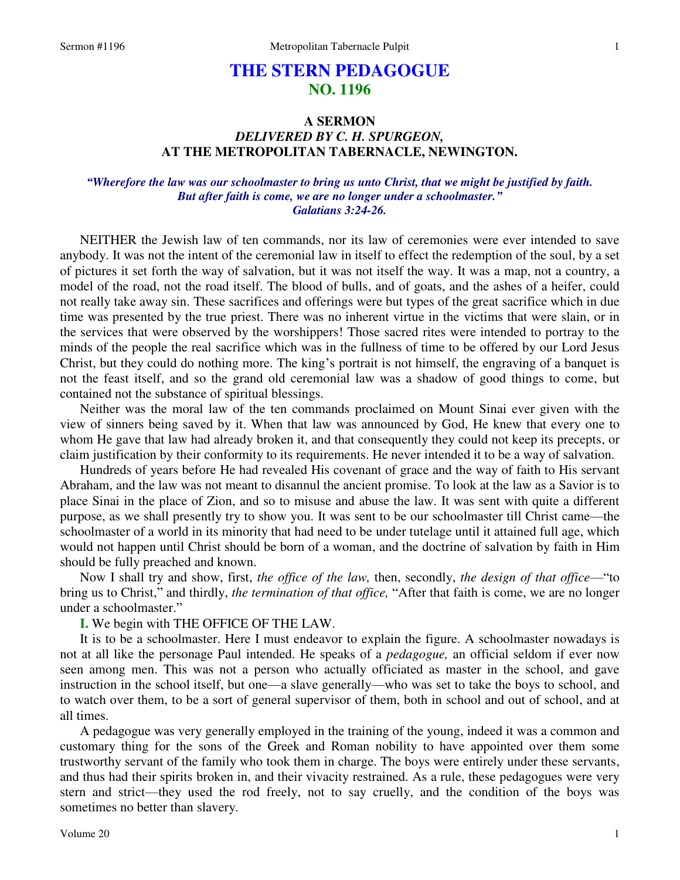# **THE STERN PEDAGOGUE NO. 1196**

## **A SERMON**  *DELIVERED BY C. H. SPURGEON,*  **AT THE METROPOLITAN TABERNACLE, NEWINGTON.**

### *"Wherefore the law was our schoolmaster to bring us unto Christ, that we might be justified by faith. But after faith is come, we are no longer under a schoolmaster." Galatians 3:24-26.*

NEITHER the Jewish law of ten commands, nor its law of ceremonies were ever intended to save anybody. It was not the intent of the ceremonial law in itself to effect the redemption of the soul, by a set of pictures it set forth the way of salvation, but it was not itself the way. It was a map, not a country, a model of the road, not the road itself. The blood of bulls, and of goats, and the ashes of a heifer, could not really take away sin. These sacrifices and offerings were but types of the great sacrifice which in due time was presented by the true priest. There was no inherent virtue in the victims that were slain, or in the services that were observed by the worshippers! Those sacred rites were intended to portray to the minds of the people the real sacrifice which was in the fullness of time to be offered by our Lord Jesus Christ, but they could do nothing more. The king's portrait is not himself, the engraving of a banquet is not the feast itself, and so the grand old ceremonial law was a shadow of good things to come, but contained not the substance of spiritual blessings.

Neither was the moral law of the ten commands proclaimed on Mount Sinai ever given with the view of sinners being saved by it. When that law was announced by God, He knew that every one to whom He gave that law had already broken it, and that consequently they could not keep its precepts, or claim justification by their conformity to its requirements. He never intended it to be a way of salvation.

Hundreds of years before He had revealed His covenant of grace and the way of faith to His servant Abraham, and the law was not meant to disannul the ancient promise. To look at the law as a Savior is to place Sinai in the place of Zion, and so to misuse and abuse the law. It was sent with quite a different purpose, as we shall presently try to show you. It was sent to be our schoolmaster till Christ came—the schoolmaster of a world in its minority that had need to be under tutelage until it attained full age, which would not happen until Christ should be born of a woman, and the doctrine of salvation by faith in Him should be fully preached and known.

Now I shall try and show, first, *the office of the law,* then, secondly, *the design of that office*—"to bring us to Christ," and thirdly, *the termination of that office,* "After that faith is come, we are no longer under a schoolmaster."

**I.** We begin with THE OFFICE OF THE LAW.

It is to be a schoolmaster. Here I must endeavor to explain the figure. A schoolmaster nowadays is not at all like the personage Paul intended. He speaks of a *pedagogue,* an official seldom if ever now seen among men. This was not a person who actually officiated as master in the school, and gave instruction in the school itself, but one—a slave generally—who was set to take the boys to school, and to watch over them, to be a sort of general supervisor of them, both in school and out of school, and at all times.

A pedagogue was very generally employed in the training of the young, indeed it was a common and customary thing for the sons of the Greek and Roman nobility to have appointed over them some trustworthy servant of the family who took them in charge. The boys were entirely under these servants, and thus had their spirits broken in, and their vivacity restrained. As a rule, these pedagogues were very stern and strict—they used the rod freely, not to say cruelly, and the condition of the boys was sometimes no better than slavery.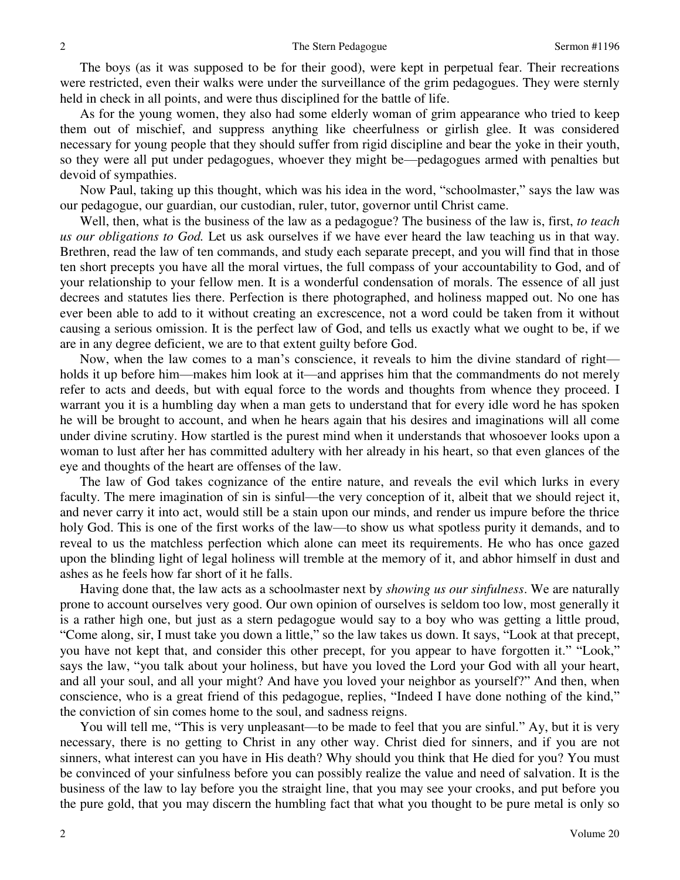The boys (as it was supposed to be for their good), were kept in perpetual fear. Their recreations were restricted, even their walks were under the surveillance of the grim pedagogues. They were sternly held in check in all points, and were thus disciplined for the battle of life.

As for the young women, they also had some elderly woman of grim appearance who tried to keep them out of mischief, and suppress anything like cheerfulness or girlish glee. It was considered necessary for young people that they should suffer from rigid discipline and bear the yoke in their youth, so they were all put under pedagogues, whoever they might be—pedagogues armed with penalties but devoid of sympathies.

Now Paul, taking up this thought, which was his idea in the word, "schoolmaster," says the law was our pedagogue, our guardian, our custodian, ruler, tutor, governor until Christ came.

Well, then, what is the business of the law as a pedagogue? The business of the law is, first, *to teach us our obligations to God.* Let us ask ourselves if we have ever heard the law teaching us in that way. Brethren, read the law of ten commands, and study each separate precept, and you will find that in those ten short precepts you have all the moral virtues, the full compass of your accountability to God, and of your relationship to your fellow men. It is a wonderful condensation of morals. The essence of all just decrees and statutes lies there. Perfection is there photographed, and holiness mapped out. No one has ever been able to add to it without creating an excrescence, not a word could be taken from it without causing a serious omission. It is the perfect law of God, and tells us exactly what we ought to be, if we are in any degree deficient, we are to that extent guilty before God.

Now, when the law comes to a man's conscience, it reveals to him the divine standard of right holds it up before him—makes him look at it—and apprises him that the commandments do not merely refer to acts and deeds, but with equal force to the words and thoughts from whence they proceed. I warrant you it is a humbling day when a man gets to understand that for every idle word he has spoken he will be brought to account, and when he hears again that his desires and imaginations will all come under divine scrutiny. How startled is the purest mind when it understands that whosoever looks upon a woman to lust after her has committed adultery with her already in his heart, so that even glances of the eye and thoughts of the heart are offenses of the law.

The law of God takes cognizance of the entire nature, and reveals the evil which lurks in every faculty. The mere imagination of sin is sinful—the very conception of it, albeit that we should reject it, and never carry it into act, would still be a stain upon our minds, and render us impure before the thrice holy God. This is one of the first works of the law—to show us what spotless purity it demands, and to reveal to us the matchless perfection which alone can meet its requirements. He who has once gazed upon the blinding light of legal holiness will tremble at the memory of it, and abhor himself in dust and ashes as he feels how far short of it he falls.

Having done that, the law acts as a schoolmaster next by *showing us our sinfulness*. We are naturally prone to account ourselves very good. Our own opinion of ourselves is seldom too low, most generally it is a rather high one, but just as a stern pedagogue would say to a boy who was getting a little proud, "Come along, sir, I must take you down a little," so the law takes us down. It says, "Look at that precept, you have not kept that, and consider this other precept, for you appear to have forgotten it." "Look," says the law, "you talk about your holiness, but have you loved the Lord your God with all your heart, and all your soul, and all your might? And have you loved your neighbor as yourself?" And then, when conscience, who is a great friend of this pedagogue, replies, "Indeed I have done nothing of the kind," the conviction of sin comes home to the soul, and sadness reigns.

You will tell me, "This is very unpleasant—to be made to feel that you are sinful." Ay, but it is very necessary, there is no getting to Christ in any other way. Christ died for sinners, and if you are not sinners, what interest can you have in His death? Why should you think that He died for you? You must be convinced of your sinfulness before you can possibly realize the value and need of salvation. It is the business of the law to lay before you the straight line, that you may see your crooks, and put before you the pure gold, that you may discern the humbling fact that what you thought to be pure metal is only so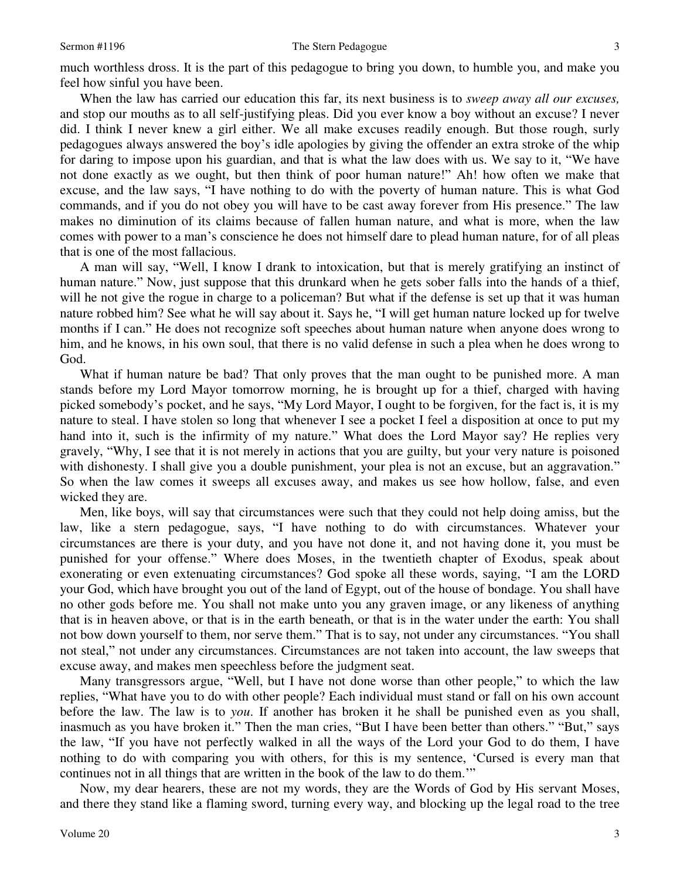much worthless dross. It is the part of this pedagogue to bring you down, to humble you, and make you feel how sinful you have been.

When the law has carried our education this far, its next business is to *sweep away all our excuses,* and stop our mouths as to all self-justifying pleas. Did you ever know a boy without an excuse? I never did. I think I never knew a girl either. We all make excuses readily enough. But those rough, surly pedagogues always answered the boy's idle apologies by giving the offender an extra stroke of the whip for daring to impose upon his guardian, and that is what the law does with us. We say to it, "We have not done exactly as we ought, but then think of poor human nature!" Ah! how often we make that excuse, and the law says, "I have nothing to do with the poverty of human nature. This is what God commands, and if you do not obey you will have to be cast away forever from His presence." The law makes no diminution of its claims because of fallen human nature, and what is more, when the law comes with power to a man's conscience he does not himself dare to plead human nature, for of all pleas that is one of the most fallacious.

A man will say, "Well, I know I drank to intoxication, but that is merely gratifying an instinct of human nature." Now, just suppose that this drunkard when he gets sober falls into the hands of a thief, will he not give the rogue in charge to a policeman? But what if the defense is set up that it was human nature robbed him? See what he will say about it. Says he, "I will get human nature locked up for twelve months if I can." He does not recognize soft speeches about human nature when anyone does wrong to him, and he knows, in his own soul, that there is no valid defense in such a plea when he does wrong to God.

What if human nature be bad? That only proves that the man ought to be punished more. A man stands before my Lord Mayor tomorrow morning, he is brought up for a thief, charged with having picked somebody's pocket, and he says, "My Lord Mayor, I ought to be forgiven, for the fact is, it is my nature to steal. I have stolen so long that whenever I see a pocket I feel a disposition at once to put my hand into it, such is the infirmity of my nature." What does the Lord Mayor say? He replies very gravely, "Why, I see that it is not merely in actions that you are guilty, but your very nature is poisoned with dishonesty. I shall give you a double punishment, your plea is not an excuse, but an aggravation." So when the law comes it sweeps all excuses away, and makes us see how hollow, false, and even wicked they are.

Men, like boys, will say that circumstances were such that they could not help doing amiss, but the law, like a stern pedagogue, says, "I have nothing to do with circumstances. Whatever your circumstances are there is your duty, and you have not done it, and not having done it, you must be punished for your offense." Where does Moses, in the twentieth chapter of Exodus, speak about exonerating or even extenuating circumstances? God spoke all these words, saying, "I am the LORD your God, which have brought you out of the land of Egypt, out of the house of bondage. You shall have no other gods before me. You shall not make unto you any graven image, or any likeness of anything that is in heaven above, or that is in the earth beneath, or that is in the water under the earth: You shall not bow down yourself to them, nor serve them." That is to say, not under any circumstances. "You shall not steal," not under any circumstances. Circumstances are not taken into account, the law sweeps that excuse away, and makes men speechless before the judgment seat.

Many transgressors argue, "Well, but I have not done worse than other people," to which the law replies, "What have you to do with other people? Each individual must stand or fall on his own account before the law. The law is to *you*. If another has broken it he shall be punished even as you shall, inasmuch as you have broken it." Then the man cries, "But I have been better than others." "But," says the law, "If you have not perfectly walked in all the ways of the Lord your God to do them, I have nothing to do with comparing you with others, for this is my sentence, 'Cursed is every man that continues not in all things that are written in the book of the law to do them.'"

Now, my dear hearers, these are not my words, they are the Words of God by His servant Moses, and there they stand like a flaming sword, turning every way, and blocking up the legal road to the tree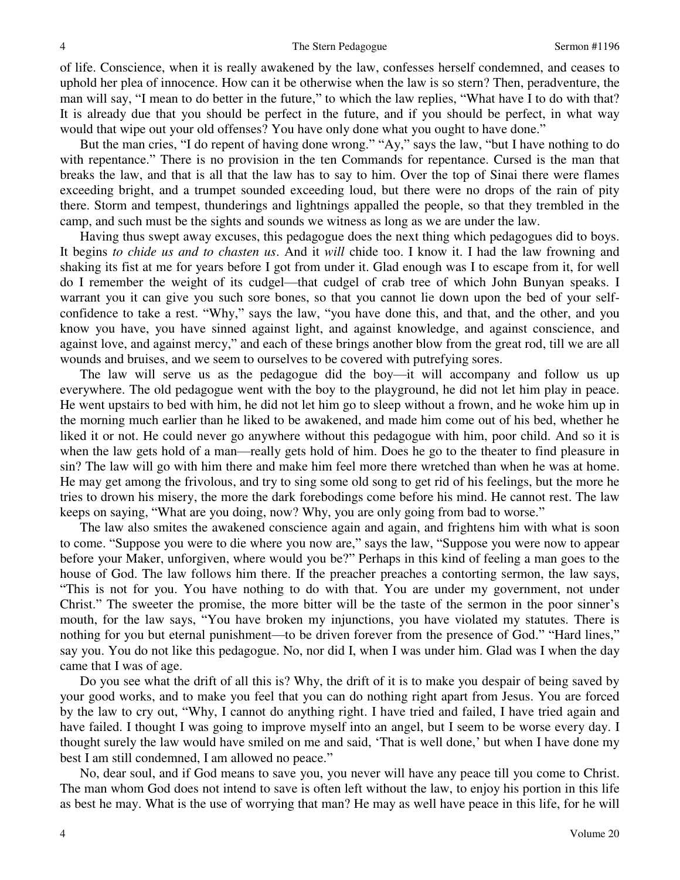of life. Conscience, when it is really awakened by the law, confesses herself condemned, and ceases to uphold her plea of innocence. How can it be otherwise when the law is so stern? Then, peradventure, the man will say, "I mean to do better in the future," to which the law replies, "What have I to do with that? It is already due that you should be perfect in the future, and if you should be perfect, in what way would that wipe out your old offenses? You have only done what you ought to have done."

But the man cries, "I do repent of having done wrong." "Ay," says the law, "but I have nothing to do with repentance." There is no provision in the ten Commands for repentance. Cursed is the man that breaks the law, and that is all that the law has to say to him. Over the top of Sinai there were flames exceeding bright, and a trumpet sounded exceeding loud, but there were no drops of the rain of pity there. Storm and tempest, thunderings and lightnings appalled the people, so that they trembled in the camp, and such must be the sights and sounds we witness as long as we are under the law.

Having thus swept away excuses, this pedagogue does the next thing which pedagogues did to boys. It begins *to chide us and to chasten us*. And it *will* chide too. I know it. I had the law frowning and shaking its fist at me for years before I got from under it. Glad enough was I to escape from it, for well do I remember the weight of its cudgel—that cudgel of crab tree of which John Bunyan speaks. I warrant you it can give you such sore bones, so that you cannot lie down upon the bed of your selfconfidence to take a rest. "Why," says the law, "you have done this, and that, and the other, and you know you have, you have sinned against light, and against knowledge, and against conscience, and against love, and against mercy," and each of these brings another blow from the great rod, till we are all wounds and bruises, and we seem to ourselves to be covered with putrefying sores.

The law will serve us as the pedagogue did the boy—it will accompany and follow us up everywhere. The old pedagogue went with the boy to the playground, he did not let him play in peace. He went upstairs to bed with him, he did not let him go to sleep without a frown, and he woke him up in the morning much earlier than he liked to be awakened, and made him come out of his bed, whether he liked it or not. He could never go anywhere without this pedagogue with him, poor child. And so it is when the law gets hold of a man—really gets hold of him. Does he go to the theater to find pleasure in sin? The law will go with him there and make him feel more there wretched than when he was at home. He may get among the frivolous, and try to sing some old song to get rid of his feelings, but the more he tries to drown his misery, the more the dark forebodings come before his mind. He cannot rest. The law keeps on saying, "What are you doing, now? Why, you are only going from bad to worse."

The law also smites the awakened conscience again and again, and frightens him with what is soon to come. "Suppose you were to die where you now are," says the law, "Suppose you were now to appear before your Maker, unforgiven, where would you be?" Perhaps in this kind of feeling a man goes to the house of God. The law follows him there. If the preacher preaches a contorting sermon, the law says, "This is not for you. You have nothing to do with that. You are under my government, not under Christ." The sweeter the promise, the more bitter will be the taste of the sermon in the poor sinner's mouth, for the law says, "You have broken my injunctions, you have violated my statutes. There is nothing for you but eternal punishment—to be driven forever from the presence of God." "Hard lines," say you. You do not like this pedagogue. No, nor did I, when I was under him. Glad was I when the day came that I was of age.

Do you see what the drift of all this is? Why, the drift of it is to make you despair of being saved by your good works, and to make you feel that you can do nothing right apart from Jesus. You are forced by the law to cry out, "Why, I cannot do anything right. I have tried and failed, I have tried again and have failed. I thought I was going to improve myself into an angel, but I seem to be worse every day. I thought surely the law would have smiled on me and said, 'That is well done,' but when I have done my best I am still condemned, I am allowed no peace."

No, dear soul, and if God means to save you, you never will have any peace till you come to Christ. The man whom God does not intend to save is often left without the law, to enjoy his portion in this life as best he may. What is the use of worrying that man? He may as well have peace in this life, for he will

4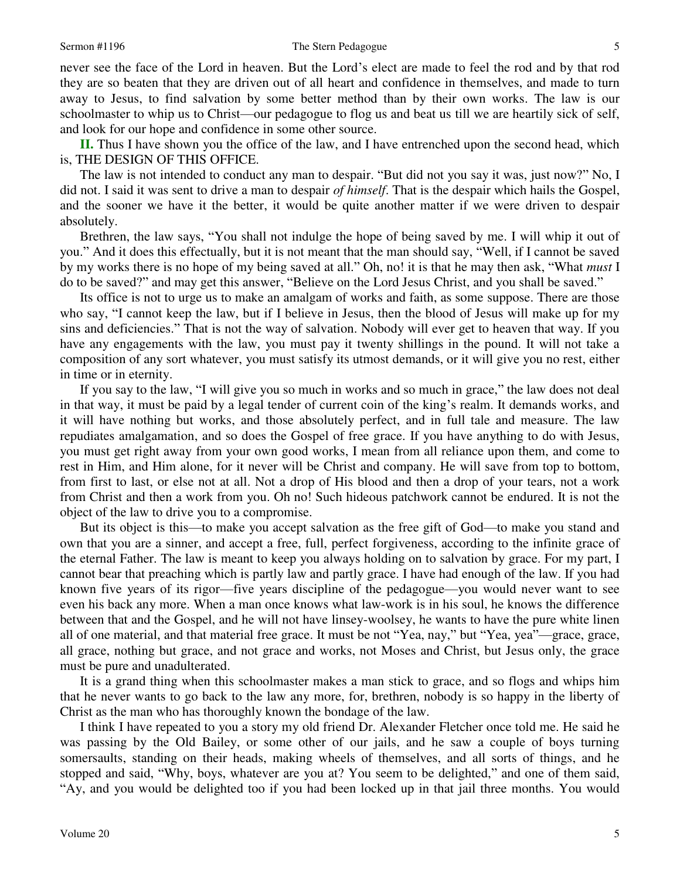#### Sermon #1196 The Stern Pedagogue

never see the face of the Lord in heaven. But the Lord's elect are made to feel the rod and by that rod they are so beaten that they are driven out of all heart and confidence in themselves, and made to turn away to Jesus, to find salvation by some better method than by their own works. The law is our schoolmaster to whip us to Christ—our pedagogue to flog us and beat us till we are heartily sick of self, and look for our hope and confidence in some other source.

**II.** Thus I have shown you the office of the law, and I have entrenched upon the second head, which is, THE DESIGN OF THIS OFFICE.

The law is not intended to conduct any man to despair. "But did not you say it was, just now?" No, I did not. I said it was sent to drive a man to despair *of himself*. That is the despair which hails the Gospel, and the sooner we have it the better, it would be quite another matter if we were driven to despair absolutely.

Brethren, the law says, "You shall not indulge the hope of being saved by me. I will whip it out of you." And it does this effectually, but it is not meant that the man should say, "Well, if I cannot be saved by my works there is no hope of my being saved at all." Oh, no! it is that he may then ask, "What *must* I do to be saved?" and may get this answer, "Believe on the Lord Jesus Christ, and you shall be saved."

Its office is not to urge us to make an amalgam of works and faith, as some suppose. There are those who say, "I cannot keep the law, but if I believe in Jesus, then the blood of Jesus will make up for my sins and deficiencies." That is not the way of salvation. Nobody will ever get to heaven that way. If you have any engagements with the law, you must pay it twenty shillings in the pound. It will not take a composition of any sort whatever, you must satisfy its utmost demands, or it will give you no rest, either in time or in eternity.

If you say to the law, "I will give you so much in works and so much in grace," the law does not deal in that way, it must be paid by a legal tender of current coin of the king's realm. It demands works, and it will have nothing but works, and those absolutely perfect, and in full tale and measure. The law repudiates amalgamation, and so does the Gospel of free grace. If you have anything to do with Jesus, you must get right away from your own good works, I mean from all reliance upon them, and come to rest in Him, and Him alone, for it never will be Christ and company. He will save from top to bottom, from first to last, or else not at all. Not a drop of His blood and then a drop of your tears, not a work from Christ and then a work from you. Oh no! Such hideous patchwork cannot be endured. It is not the object of the law to drive you to a compromise.

But its object is this—to make you accept salvation as the free gift of God—to make you stand and own that you are a sinner, and accept a free, full, perfect forgiveness, according to the infinite grace of the eternal Father. The law is meant to keep you always holding on to salvation by grace. For my part, I cannot bear that preaching which is partly law and partly grace. I have had enough of the law. If you had known five years of its rigor—five years discipline of the pedagogue—you would never want to see even his back any more. When a man once knows what law-work is in his soul, he knows the difference between that and the Gospel, and he will not have linsey-woolsey, he wants to have the pure white linen all of one material, and that material free grace. It must be not "Yea, nay," but "Yea, yea"—grace, grace, all grace, nothing but grace, and not grace and works, not Moses and Christ, but Jesus only, the grace must be pure and unadulterated.

It is a grand thing when this schoolmaster makes a man stick to grace, and so flogs and whips him that he never wants to go back to the law any more, for, brethren, nobody is so happy in the liberty of Christ as the man who has thoroughly known the bondage of the law.

I think I have repeated to you a story my old friend Dr. Alexander Fletcher once told me. He said he was passing by the Old Bailey, or some other of our jails, and he saw a couple of boys turning somersaults, standing on their heads, making wheels of themselves, and all sorts of things, and he stopped and said, "Why, boys, whatever are you at? You seem to be delighted," and one of them said, "Ay, and you would be delighted too if you had been locked up in that jail three months. You would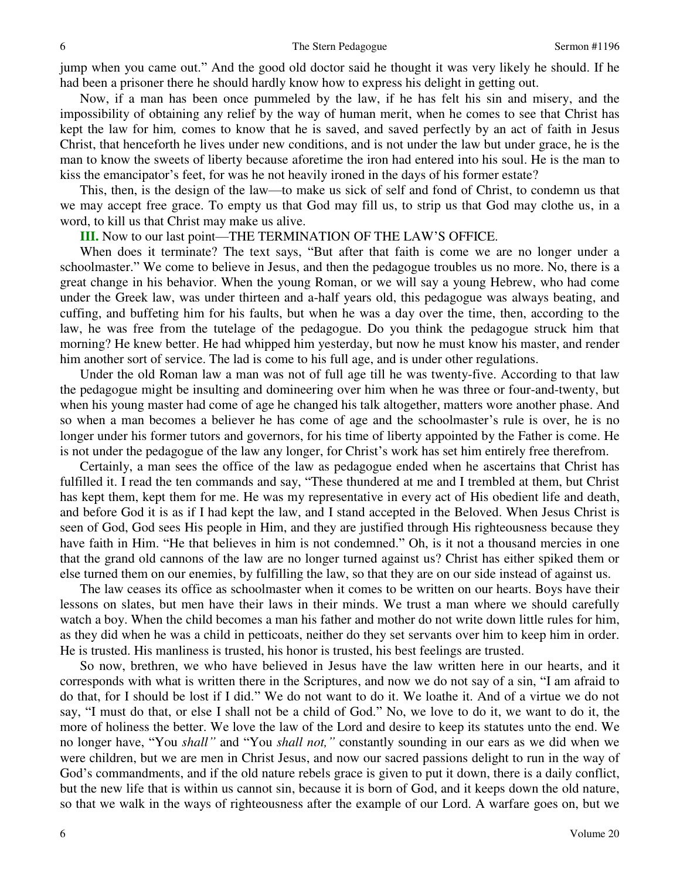jump when you came out." And the good old doctor said he thought it was very likely he should. If he had been a prisoner there he should hardly know how to express his delight in getting out.

Now, if a man has been once pummeled by the law, if he has felt his sin and misery, and the impossibility of obtaining any relief by the way of human merit, when he comes to see that Christ has kept the law for him*,* comes to know that he is saved, and saved perfectly by an act of faith in Jesus Christ, that henceforth he lives under new conditions, and is not under the law but under grace, he is the man to know the sweets of liberty because aforetime the iron had entered into his soul. He is the man to kiss the emancipator's feet, for was he not heavily ironed in the days of his former estate?

This, then, is the design of the law—to make us sick of self and fond of Christ, to condemn us that we may accept free grace. To empty us that God may fill us, to strip us that God may clothe us, in a word, to kill us that Christ may make us alive.

#### **III.** Now to our last point—THE TERMINATION OF THE LAW'S OFFICE.

When does it terminate? The text says, "But after that faith is come we are no longer under a schoolmaster." We come to believe in Jesus, and then the pedagogue troubles us no more. No, there is a great change in his behavior. When the young Roman, or we will say a young Hebrew, who had come under the Greek law, was under thirteen and a-half years old, this pedagogue was always beating, and cuffing, and buffeting him for his faults, but when he was a day over the time, then, according to the law, he was free from the tutelage of the pedagogue. Do you think the pedagogue struck him that morning? He knew better. He had whipped him yesterday, but now he must know his master, and render him another sort of service. The lad is come to his full age, and is under other regulations.

Under the old Roman law a man was not of full age till he was twenty-five. According to that law the pedagogue might be insulting and domineering over him when he was three or four-and-twenty, but when his young master had come of age he changed his talk altogether, matters wore another phase. And so when a man becomes a believer he has come of age and the schoolmaster's rule is over, he is no longer under his former tutors and governors, for his time of liberty appointed by the Father is come. He is not under the pedagogue of the law any longer, for Christ's work has set him entirely free therefrom.

Certainly, a man sees the office of the law as pedagogue ended when he ascertains that Christ has fulfilled it. I read the ten commands and say, "These thundered at me and I trembled at them, but Christ has kept them, kept them for me. He was my representative in every act of His obedient life and death, and before God it is as if I had kept the law, and I stand accepted in the Beloved. When Jesus Christ is seen of God, God sees His people in Him, and they are justified through His righteousness because they have faith in Him. "He that believes in him is not condemned." Oh, is it not a thousand mercies in one that the grand old cannons of the law are no longer turned against us? Christ has either spiked them or else turned them on our enemies, by fulfilling the law, so that they are on our side instead of against us.

The law ceases its office as schoolmaster when it comes to be written on our hearts. Boys have their lessons on slates, but men have their laws in their minds. We trust a man where we should carefully watch a boy. When the child becomes a man his father and mother do not write down little rules for him, as they did when he was a child in petticoats, neither do they set servants over him to keep him in order. He is trusted. His manliness is trusted, his honor is trusted, his best feelings are trusted.

So now, brethren, we who have believed in Jesus have the law written here in our hearts, and it corresponds with what is written there in the Scriptures, and now we do not say of a sin, "I am afraid to do that, for I should be lost if I did." We do not want to do it. We loathe it. And of a virtue we do not say, "I must do that, or else I shall not be a child of God." No, we love to do it, we want to do it, the more of holiness the better. We love the law of the Lord and desire to keep its statutes unto the end. We no longer have, "You *shall"* and "You *shall not,"* constantly sounding in our ears as we did when we were children, but we are men in Christ Jesus, and now our sacred passions delight to run in the way of God's commandments, and if the old nature rebels grace is given to put it down, there is a daily conflict, but the new life that is within us cannot sin, because it is born of God, and it keeps down the old nature, so that we walk in the ways of righteousness after the example of our Lord. A warfare goes on, but we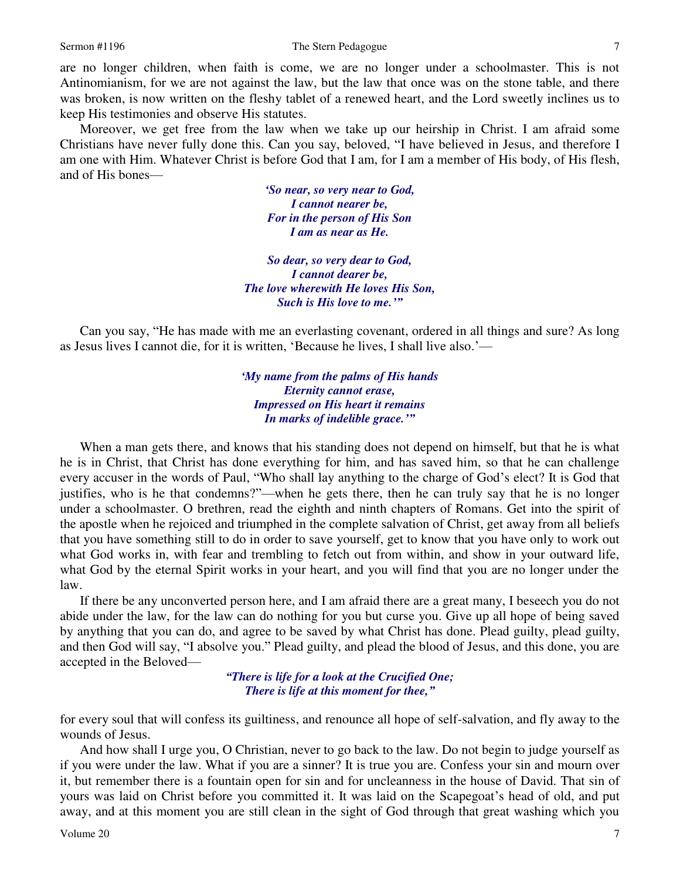are no longer children, when faith is come, we are no longer under a schoolmaster. This is not Antinomianism, for we are not against the law, but the law that once was on the stone table, and there was broken, is now written on the fleshy tablet of a renewed heart, and the Lord sweetly inclines us to keep His testimonies and observe His statutes.

Moreover, we get free from the law when we take up our heirship in Christ. I am afraid some Christians have never fully done this. Can you say, beloved, "I have believed in Jesus, and therefore I am one with Him. Whatever Christ is before God that I am, for I am a member of His body, of His flesh, and of His bones—

> *'So near, so very near to God, I cannot nearer be, For in the person of His Son I am as near as He.*

*So dear, so very dear to God, I cannot dearer be, The love wherewith He loves His Son, Such is His love to me.'"*

Can you say, "He has made with me an everlasting covenant, ordered in all things and sure? As long as Jesus lives I cannot die, for it is written, 'Because he lives, I shall live also.'—

> *'My name from the palms of His hands Eternity cannot erase, Impressed on His heart it remains In marks of indelible grace.'"*

 When a man gets there, and knows that his standing does not depend on himself, but that he is what he is in Christ, that Christ has done everything for him, and has saved him, so that he can challenge every accuser in the words of Paul, "Who shall lay anything to the charge of God's elect? It is God that justifies, who is he that condemns?"—when he gets there, then he can truly say that he is no longer under a schoolmaster. O brethren, read the eighth and ninth chapters of Romans. Get into the spirit of the apostle when he rejoiced and triumphed in the complete salvation of Christ, get away from all beliefs that you have something still to do in order to save yourself, get to know that you have only to work out what God works in, with fear and trembling to fetch out from within, and show in your outward life, what God by the eternal Spirit works in your heart, and you will find that you are no longer under the law.

If there be any unconverted person here, and I am afraid there are a great many, I beseech you do not abide under the law, for the law can do nothing for you but curse you. Give up all hope of being saved by anything that you can do, and agree to be saved by what Christ has done. Plead guilty, plead guilty, and then God will say, "I absolve you." Plead guilty, and plead the blood of Jesus, and this done, you are accepted in the Beloved—

> *"There is life for a look at the Crucified One; There is life at this moment for thee,"*

for every soul that will confess its guiltiness, and renounce all hope of self-salvation, and fly away to the wounds of Jesus.

And how shall I urge you, O Christian, never to go back to the law. Do not begin to judge yourself as if you were under the law. What if you are a sinner? It is true you are. Confess your sin and mourn over it, but remember there is a fountain open for sin and for uncleanness in the house of David. That sin of yours was laid on Christ before you committed it. It was laid on the Scapegoat's head of old, and put away, and at this moment you are still clean in the sight of God through that great washing which you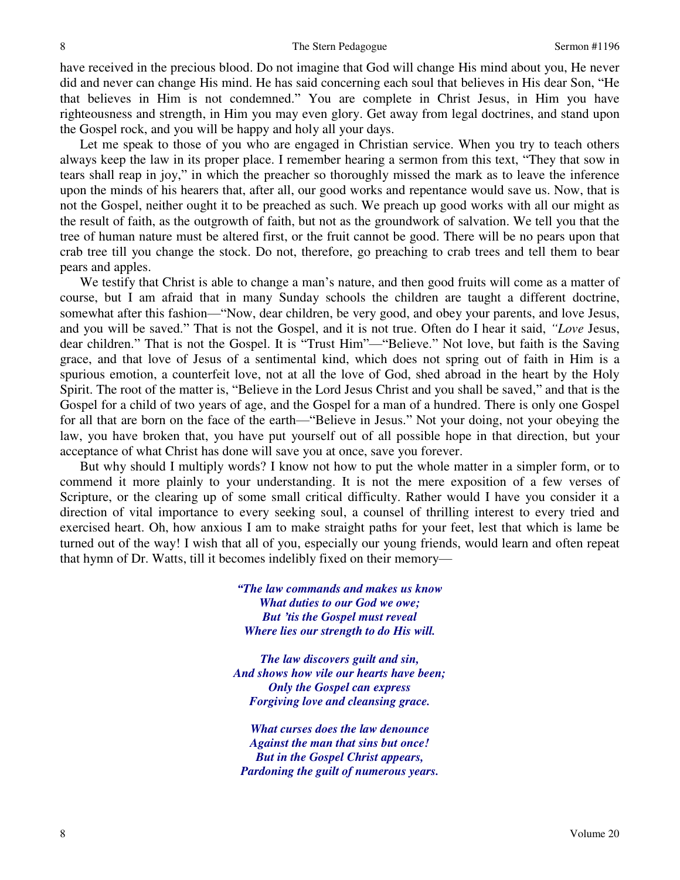have received in the precious blood. Do not imagine that God will change His mind about you, He never did and never can change His mind. He has said concerning each soul that believes in His dear Son, "He that believes in Him is not condemned." You are complete in Christ Jesus, in Him you have righteousness and strength, in Him you may even glory. Get away from legal doctrines, and stand upon the Gospel rock, and you will be happy and holy all your days.

Let me speak to those of you who are engaged in Christian service. When you try to teach others always keep the law in its proper place. I remember hearing a sermon from this text, "They that sow in tears shall reap in joy," in which the preacher so thoroughly missed the mark as to leave the inference upon the minds of his hearers that, after all, our good works and repentance would save us. Now, that is not the Gospel, neither ought it to be preached as such. We preach up good works with all our might as the result of faith, as the outgrowth of faith, but not as the groundwork of salvation. We tell you that the tree of human nature must be altered first, or the fruit cannot be good. There will be no pears upon that crab tree till you change the stock. Do not, therefore, go preaching to crab trees and tell them to bear pears and apples.

We testify that Christ is able to change a man's nature, and then good fruits will come as a matter of course, but I am afraid that in many Sunday schools the children are taught a different doctrine, somewhat after this fashion—"Now, dear children, be very good, and obey your parents, and love Jesus, and you will be saved." That is not the Gospel, and it is not true. Often do I hear it said, *"Love* Jesus, dear children." That is not the Gospel. It is "Trust Him"—"Believe." Not love, but faith is the Saving grace, and that love of Jesus of a sentimental kind, which does not spring out of faith in Him is a spurious emotion, a counterfeit love, not at all the love of God, shed abroad in the heart by the Holy Spirit. The root of the matter is, "Believe in the Lord Jesus Christ and you shall be saved," and that is the Gospel for a child of two years of age, and the Gospel for a man of a hundred. There is only one Gospel for all that are born on the face of the earth—"Believe in Jesus." Not your doing, not your obeying the law, you have broken that, you have put yourself out of all possible hope in that direction, but your acceptance of what Christ has done will save you at once, save you forever.

But why should I multiply words? I know not how to put the whole matter in a simpler form, or to commend it more plainly to your understanding. It is not the mere exposition of a few verses of Scripture, or the clearing up of some small critical difficulty. Rather would I have you consider it a direction of vital importance to every seeking soul, a counsel of thrilling interest to every tried and exercised heart. Oh, how anxious I am to make straight paths for your feet, lest that which is lame be turned out of the way! I wish that all of you, especially our young friends, would learn and often repeat that hymn of Dr. Watts, till it becomes indelibly fixed on their memory—

> *"The law commands and makes us know What duties to our God we owe; But 'tis the Gospel must reveal Where lies our strength to do His will.*

*The law discovers guilt and sin, And shows how vile our hearts have been; Only the Gospel can express Forgiving love and cleansing grace.* 

*What curses does the law denounce Against the man that sins but once! But in the Gospel Christ appears, Pardoning the guilt of numerous years.*